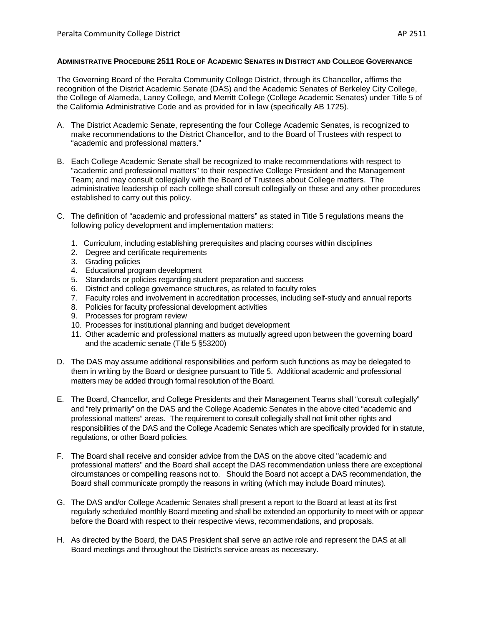## **ADMINISTRATIVE PROCEDURE 2511 ROLE OF ACADEMIC SENATES IN DISTRICT AND COLLEGE GOVERNANCE**

The Governing Board of the Peralta Community College District, through its Chancellor, affirms the recognition of the District Academic Senate (DAS) and the Academic Senates of Berkeley City College, the College of Alameda, Laney College, and Merritt College (College Academic Senates) under Title 5 of the California Administrative Code and as provided for in law (specifically AB 1725).

- A. The District Academic Senate, representing the four College Academic Senates, is recognized to make recommendations to the District Chancellor, and to the Board of Trustees with respect to "academic and professional matters."
- B. Each College Academic Senate shall be recognized to make recommendations with respect to "academic and professional matters" to their respective College President and the Management Team; and may consult collegially with the Board of Trustees about College matters. The administrative leadership of each college shall consult collegially on these and any other procedures established to carry out this policy.
- C. The definition of "academic and professional matters" as stated in Title 5 regulations means the following policy development and implementation matters:
	- 1. Curriculum, including establishing prerequisites and placing courses within disciplines
	- 2. Degree and certificate requirements
	- 3. Grading policies
	- 4. Educational program development
	- 5. Standards or policies regarding student preparation and success
	- 6. District and college governance structures, as related to faculty roles
	- 7. Faculty roles and involvement in accreditation processes, including self-study and annual reports
	- 8. Policies for faculty professional development activities
	- 9. Processes for program review
	- 10. Processes for institutional planning and budget development
	- 11. Other academic and professional matters as mutually agreed upon between the governing board and the academic senate (Title 5 §53200)
- D. The DAS may assume additional responsibilities and perform such functions as may be delegated to them in writing by the Board or designee pursuant to Title 5. Additional academic and professional matters may be added through formal resolution of the Board.
- E. The Board, Chancellor, and College Presidents and their Management Teams shall "consult collegially" and "rely primarily" on the DAS and the College Academic Senates in the above cited "academic and professional matters" areas. The requirement to consult collegially shall not limit other rights and responsibilities of the DAS and the College Academic Senates which are specifically provided for in statute, regulations, or other Board policies.
- F. The Board shall receive and consider advice from the DAS on the above cited "academic and professional matters" and the Board shall accept the DAS recommendation unless there are exceptional circumstances or compelling reasons not to. Should the Board not accept a DAS recommendation, the Board shall communicate promptly the reasons in writing (which may include Board minutes).
- G. The DAS and/or College Academic Senates shall present a report to the Board at least at its first regularly scheduled monthly Board meeting and shall be extended an opportunity to meet with or appear before the Board with respect to their respective views, recommendations, and proposals.
- H. As directed by the Board, the DAS President shall serve an active role and represent the DAS at all Board meetings and throughout the District's service areas as necessary.